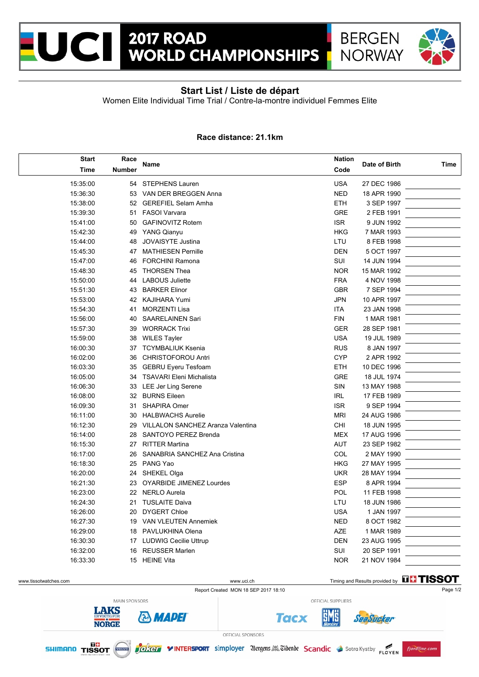



## **Start List / Liste de départ**

Women Elite Individual Time Trial / Contre-la-montre individuel Femmes Elite

## **Race distance: 21.1km**

| <b>Start</b> | Race          | Name                                     |            | Date of Birth | <b>Time</b> |
|--------------|---------------|------------------------------------------|------------|---------------|-------------|
| <b>Time</b>  | <b>Number</b> |                                          |            |               |             |
| 15:35:00     | 54            | <b>STEPHENS Lauren</b>                   | <b>USA</b> | 27 DEC 1986   |             |
| 15:36:30     |               | 53 VAN DER BREGGEN Anna                  | <b>NED</b> | 18 APR 1990   |             |
| 15:38:00     |               | 52 GEREFIEL Selam Amha                   | <b>ETH</b> | 3 SEP 1997    |             |
| 15:39:30     | 51            | <b>FASOI Varvara</b>                     |            | 2 FEB 1991    |             |
| 15:41:00     | 50            | <b>GAFINOVITZ Rotem</b>                  | <b>ISR</b> | 9 JUN 1992    |             |
| 15:42:30     | 49            | <b>YANG Qianyu</b>                       | <b>HKG</b> | 7 MAR 1993    |             |
| 15:44:00     | 48            | JOVAISYTE Justina                        | LTU        | 8 FEB 1998    |             |
| 15:45:30     | 47            | <b>MATHIESEN Pernille</b>                | <b>DEN</b> | 5 OCT 1997    |             |
| 15:47:00     | 46            | <b>FORCHINI Ramona</b>                   | SUI        | 14 JUN 1994   |             |
| 15:48:30     | 45            | <b>THORSEN Thea</b>                      | <b>NOR</b> | 15 MAR 1992   |             |
| 15:50:00     | 44            | <b>LABOUS Juliette</b>                   | <b>FRA</b> | 4 NOV 1998    |             |
| 15:51:30     | 43            | <b>BARKER Elinor</b>                     | <b>GBR</b> | 7 SEP 1994    |             |
| 15:53:00     | 42            | KAJIHARA Yumi                            | <b>JPN</b> | 10 APR 1997   |             |
| 15:54:30     | 41            | <b>MORZENTI Lisa</b>                     | ITA        | 23 JAN 1998   |             |
| 15:56:00     | 40            | <b>SAARELAINEN Sari</b>                  | <b>FIN</b> | 1 MAR 1981    |             |
| 15:57:30     | 39            | <b>WORRACK Trixi</b>                     | <b>GER</b> | 28 SEP 1981   |             |
| 15:59:00     | 38            | <b>WILES Tayler</b>                      | <b>USA</b> | 19 JUL 1989   |             |
| 16:00:30     |               | 37 TCYMBALIUK Ksenia                     | <b>RUS</b> | 8 JAN 1997    |             |
| 16:02:00     | 36            | <b>CHRISTOFOROU Antri</b>                | <b>CYP</b> | 2 APR 1992    |             |
| 16:03:30     | 35            | <b>GEBRU Eyeru Tesfoam</b>               | <b>ETH</b> | 10 DEC 1996   |             |
| 16:05:00     | 34            | <b>TSAVARI Eleni Michalista</b>          | <b>GRE</b> | 18 JUL 1974   |             |
| 16:06:30     | 33            | LEE Jer Ling Serene                      | SIN        | 13 MAY 1988   |             |
| 16:08:00     | 32            | <b>BURNS Eileen</b>                      | <b>IRL</b> | 17 FEB 1989   |             |
| 16:09:30     | 31            | <b>SHAPIRA Omer</b>                      | <b>ISR</b> | 9 SEP 1994    |             |
| 16:11:00     | 30            | <b>HALBWACHS Aurelie</b>                 | <b>MRI</b> | 24 AUG 1986   |             |
| 16:12:30     | 29            | <b>VILLALON SANCHEZ Aranza Valentina</b> | <b>CHI</b> | 18 JUN 1995   |             |
| 16:14:00     | 28            | <b>SANTOYO PEREZ Brenda</b>              | <b>MEX</b> | 17 AUG 1996   |             |
| 16:15:30     | 27            | <b>RITTER Martina</b>                    | <b>AUT</b> | 23 SEP 1982   |             |
| 16:17:00     | 26            | SANABRIA SANCHEZ Ana Cristina            | <b>COL</b> | 2 MAY 1990    |             |
| 16:18:30     | 25            | PANG Yao                                 | <b>HKG</b> | 27 MAY 1995   |             |
| 16:20:00     | 24            | SHEKEL Olga                              | <b>UKR</b> | 28 MAY 1994   |             |
| 16:21:30     | 23            | OYARBIDE JIMENEZ Lourdes                 | <b>ESP</b> | 8 APR 1994    |             |
| 16:23:00     | 22            | <b>NERLO Aurela</b>                      | <b>POL</b> | 11 FEB 1998   |             |
| 16:24:30     | 21            | <b>TUSLAITE Daiva</b>                    | LTU        | 18 JUN 1986   |             |
| 16:26:00     | 20            | <b>DYGERT Chloe</b>                      | <b>USA</b> | 1 JAN 1997    |             |
| 16:27:30     | 19            | <b>VAN VLEUTEN Annemiek</b>              | <b>NED</b> | 8 OCT 1982    |             |
| 16:29:00     | 18            | PAVLUKHINA Olena                         | <b>AZE</b> | 1 MAR 1989    |             |
| 16:30:30     | 17            | <b>LUDWIG Cecilie Uttrup</b>             | <b>DEN</b> | 23 AUG 1995   |             |
| 16:32:00     | 16            | <b>REUSSER Marlen</b>                    | SUI        | 20 SEP 1991   |             |
| 16:33:30     |               | 15 HEINE Vita                            | <b>NOR</b> | 21 NOV 1984   |             |
|              |               |                                          |            |               |             |

Report Created MON 18 SEP 2017 18:10 **Page 1/2** Page 1/2

www.tissotwatches.com www.uci.ch Timing and Results provided by THSSOT

SeaSucker

MAIN SPONSORS **LAKS & MADEI NORGE** 

OFFICIAL SPONSORS



Joken VINTERSPORT simployer Vergens. Cibenbe Scandic Sotra Kystby FLOYEN

**Tacx** 

OFFICIAL SUPPLIERS

5M6

fjordline.com